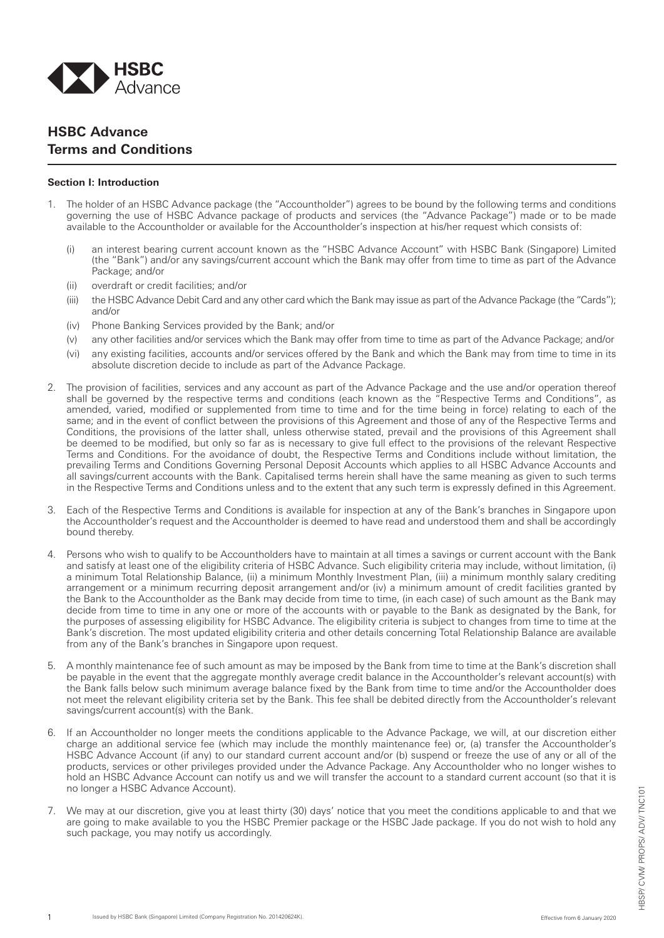

# **HSBC Advance Terms and Conditions**

## **Section I: Introduction**

- 1. The holder of an HSBC Advance package (the "Accountholder") agrees to be bound by the following terms and conditions governing the use of HSBC Advance package of products and services (the "Advance Package") made or to be made available to the Accountholder or available for the Accountholder's inspection at his/her request which consists of:
	- (i) an interest bearing current account known as the "HSBC Advance Account" with HSBC Bank (Singapore) Limited (the "Bank") and/or any savings/current account which the Bank may offer from time to time as part of the Advance Package; and/or
	- (ii) overdraft or credit facilities; and/or
	- (iii) the HSBC Advance Debit Card and any other card which the Bank may issue as part of the Advance Package (the "Cards"); and/or
	- (iv) Phone Banking Services provided by the Bank; and/or
	- (v) any other facilities and/or services which the Bank may offer from time to time as part of the Advance Package; and/or
	- (vi) any existing facilities, accounts and/or services offered by the Bank and which the Bank may from time to time in its absolute discretion decide to include as part of the Advance Package.
- 2. The provision of facilities, services and any account as part of the Advance Package and the use and/or operation thereof shall be governed by the respective terms and conditions (each known as the "Respective Terms and Conditions", as amended, varied, modified or supplemented from time to time and for the time being in force) relating to each of the same; and in the event of conflict between the provisions of this Agreement and those of any of the Respective Terms and Conditions, the provisions of the latter shall, unless otherwise stated, prevail and the provisions of this Agreement shall be deemed to be modified, but only so far as is necessary to give full effect to the provisions of the relevant Respective Terms and Conditions. For the avoidance of doubt, the Respective Terms and Conditions include without limitation, the prevailing Terms and Conditions Governing Personal Deposit Accounts which applies to all HSBC Advance Accounts and all savings/current accounts with the Bank. Capitalised terms herein shall have the same meaning as given to such terms in the Respective Terms and Conditions unless and to the extent that any such term is expressly defined in this Agreement.
- 3. Each of the Respective Terms and Conditions is available for inspection at any of the Bank's branches in Singapore upon the Accountholder's request and the Accountholder is deemed to have read and understood them and shall be accordingly bound thereby.
- 4. Persons who wish to qualify to be Accountholders have to maintain at all times a savings or current account with the Bank and satisfy at least one of the eligibility criteria of HSBC Advance. Such eligibility criteria may include, without limitation, (i) a minimum Total Relationship Balance, (ii) a minimum Monthly Investment Plan, (iii) a minimum monthly salary crediting arrangement or a minimum recurring deposit arrangement and/or (iv) a minimum amount of credit facilities granted by the Bank to the Accountholder as the Bank may decide from time to time, (in each case) of such amount as the Bank may decide from time to time in any one or more of the accounts with or payable to the Bank as designated by the Bank, for the purposes of assessing eligibility for HSBC Advance. The eligibility criteria is subject to changes from time to time at the Bank's discretion. The most updated eligibility criteria and other details concerning Total Relationship Balance are available from any of the Bank's branches in Singapore upon request.
- 5. A monthly maintenance fee of such amount as may be imposed by the Bank from time to time at the Bank's discretion shall be payable in the event that the aggregate monthly average credit balance in the Accountholder's relevant account(s) with the Bank falls below such minimum average balance fixed by the Bank from time to time and/or the Accountholder does not meet the relevant eligibility criteria set by the Bank. This fee shall be debited directly from the Accountholder's relevant savings/current account(s) with the Bank.
- 6. If an Accountholder no longer meets the conditions applicable to the Advance Package, we will, at our discretion either charge an additional service fee (which may include the monthly maintenance fee) or, (a) transfer the Accountholder's HSBC Advance Account (if any) to our standard current account and/or (b) suspend or freeze the use of any or all of the products, services or other privileges provided under the Advance Package. Any Accountholder who no longer wishes to hold an HSBC Advance Account can notify us and we will transfer the account to a standard current account (so that it is no longer a HSBC Advance Account).
- 7. We may at our discretion, give you at least thirty (30) days' notice that you meet the conditions applicable to and that we are going to make available to you the HSBC Premier package or the HSBC Jade package. If you do not wish to hold any such package, you may notify us accordingly.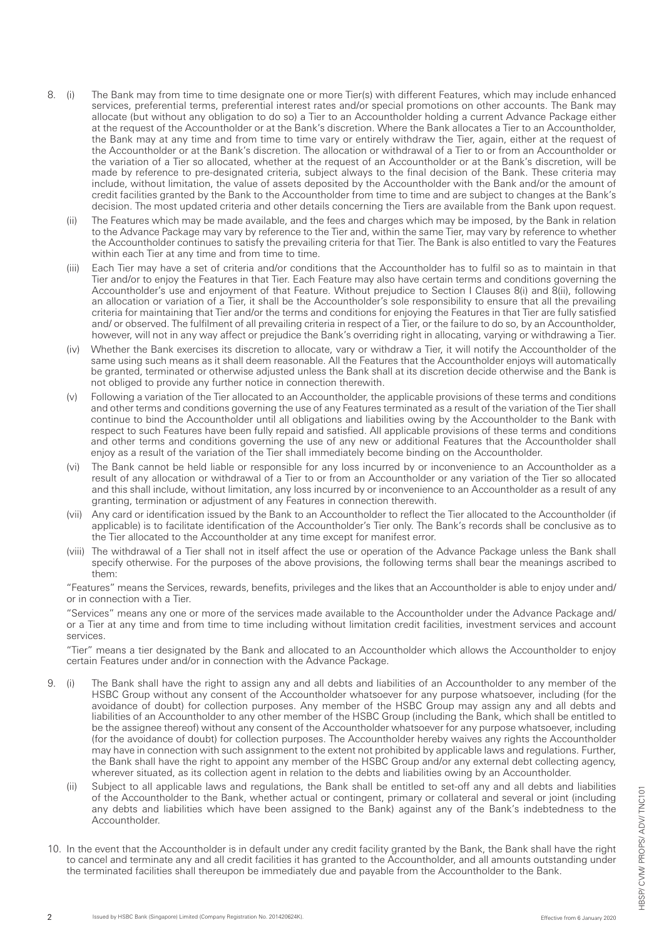- 8. (i) The Bank may from time to time designate one or more Tier(s) with different Features, which may include enhanced services, preferential terms, preferential interest rates and/or special promotions on other accounts. The Bank may allocate (but without any obligation to do so) a Tier to an Accountholder holding a current Advance Package either at the request of the Accountholder or at the Bank's discretion. Where the Bank allocates a Tier to an Accountholder, the Bank may at any time and from time to time vary or entirely withdraw the Tier, again, either at the request of the Accountholder or at the Bank's discretion. The allocation or withdrawal of a Tier to or from an Accountholder or the variation of a Tier so allocated, whether at the request of an Accountholder or at the Bank's discretion, will be made by reference to pre-designated criteria, subject always to the final decision of the Bank. These criteria may include, without limitation, the value of assets deposited by the Accountholder with the Bank and/or the amount of credit facilities granted by the Bank to the Accountholder from time to time and are subject to changes at the Bank's decision. The most updated criteria and other details concerning the Tiers are available from the Bank upon request.
	- (ii) The Features which may be made available, and the fees and charges which may be imposed, by the Bank in relation to the Advance Package may vary by reference to the Tier and, within the same Tier, may vary by reference to whether the Accountholder continues to satisfy the prevailing criteria for that Tier. The Bank is also entitled to vary the Features within each Tier at any time and from time to time.
	- (iii) Each Tier may have a set of criteria and/or conditions that the Accountholder has to fulfil so as to maintain in that Tier and/or to enjoy the Features in that Tier. Each Feature may also have certain terms and conditions governing the Accountholder's use and enjoyment of that Feature. Without prejudice to Section I Clauses 8(i) and 8(ii), following an allocation or variation of a Tier, it shall be the Accountholder's sole responsibility to ensure that all the prevailing criteria for maintaining that Tier and/or the terms and conditions for enjoying the Features in that Tier are fully satisfied and/ or observed. The fulfilment of all prevailing criteria in respect of a Tier, or the failure to do so, by an Accountholder, however, will not in any way affect or prejudice the Bank's overriding right in allocating, varying or withdrawing a Tier.
	- (iv) Whether the Bank exercises its discretion to allocate, vary or withdraw a Tier, it will notify the Accountholder of the same using such means as it shall deem reasonable. All the Features that the Accountholder enjoys will automatically be granted, terminated or otherwise adjusted unless the Bank shall at its discretion decide otherwise and the Bank is not obliged to provide any further notice in connection therewith.
	- (v) Following a variation of the Tier allocated to an Accountholder, the applicable provisions of these terms and conditions and other terms and conditions governing the use of any Features terminated as a result of the variation of the Tier shall continue to bind the Accountholder until all obligations and liabilities owing by the Accountholder to the Bank with respect to such Features have been fully repaid and satisfied. All applicable provisions of these terms and conditions and other terms and conditions governing the use of any new or additional Features that the Accountholder shall enjoy as a result of the variation of the Tier shall immediately become binding on the Accountholder.
	- (vi) The Bank cannot be held liable or responsible for any loss incurred by or inconvenience to an Accountholder as a result of any allocation or withdrawal of a Tier to or from an Accountholder or any variation of the Tier so allocated and this shall include, without limitation, any loss incurred by or inconvenience to an Accountholder as a result of any granting, termination or adjustment of any Features in connection therewith.
	- (vii) Any card or identification issued by the Bank to an Accountholder to reflect the Tier allocated to the Accountholder (if applicable) is to facilitate identification of the Accountholder's Tier only. The Bank's records shall be conclusive as to the Tier allocated to the Accountholder at any time except for manifest error.
	- (viii) The withdrawal of a Tier shall not in itself affect the use or operation of the Advance Package unless the Bank shall specify otherwise. For the purposes of the above provisions, the following terms shall bear the meanings ascribed to them:

 "Features" means the Services, rewards, benefits, privileges and the likes that an Accountholder is able to enjoy under and/ or in connection with a Tier.

 "Services" means any one or more of the services made available to the Accountholder under the Advance Package and/ or a Tier at any time and from time to time including without limitation credit facilities, investment services and account services.

 "Tier" means a tier designated by the Bank and allocated to an Accountholder which allows the Accountholder to enjoy certain Features under and/or in connection with the Advance Package.

- 9. (i) The Bank shall have the right to assign any and all debts and liabilities of an Accountholder to any member of the HSBC Group without any consent of the Accountholder whatsoever for any purpose whatsoever, including (for the avoidance of doubt) for collection purposes. Any member of the HSBC Group may assign any and all debts and liabilities of an Accountholder to any other member of the HSBC Group (including the Bank, which shall be entitled to be the assignee thereof) without any consent of the Accountholder whatsoever for any purpose whatsoever, including (for the avoidance of doubt) for collection purposes. The Accountholder hereby waives any rights the Accountholder may have in connection with such assignment to the extent not prohibited by applicable laws and regulations. Further, the Bank shall have the right to appoint any member of the HSBC Group and/or any external debt collecting agency, wherever situated, as its collection agent in relation to the debts and liabilities owing by an Accountholder.
	- (ii) Subject to all applicable laws and regulations, the Bank shall be entitled to set-off any and all debts and liabilities of the Accountholder to the Bank, whether actual or contingent, primary or collateral and several or joint (including any debts and liabilities which have been assigned to the Bank) against any of the Bank's indebtedness to the Accountholder.
- 10. In the event that the Accountholder is in default under any credit facility granted by the Bank, the Bank shall have the right to cancel and terminate any and all credit facilities it has granted to the Accountholder, and all amounts outstanding under the terminated facilities shall thereupon be immediately due and payable from the Accountholder to the Bank.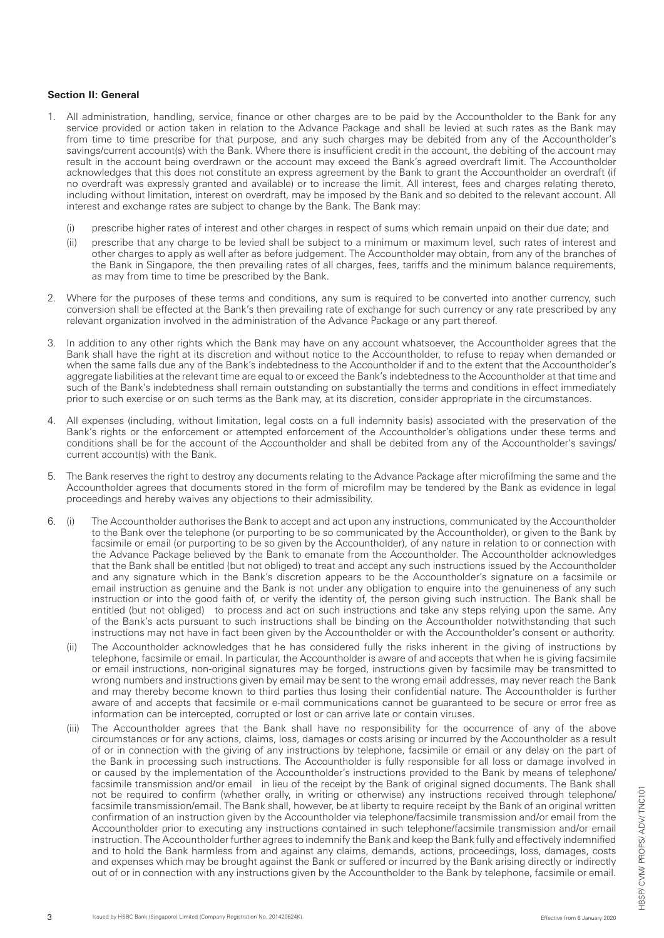## **Section II: General**

- 1. All administration, handling, service, finance or other charges are to be paid by the Accountholder to the Bank for any service provided or action taken in relation to the Advance Package and shall be levied at such rates as the Bank may from time to time prescribe for that purpose, and any such charges may be debited from any of the Accountholder's savings/current account(s) with the Bank. Where there is insufficient credit in the account, the debiting of the account may result in the account being overdrawn or the account may exceed the Bank's agreed overdraft limit. The Accountholder acknowledges that this does not constitute an express agreement by the Bank to grant the Accountholder an overdraft (if no overdraft was expressly granted and available) or to increase the limit. All interest, fees and charges relating thereto, including without limitation, interest on overdraft, may be imposed by the Bank and so debited to the relevant account. All interest and exchange rates are subject to change by the Bank. The Bank may:
	- (i) prescribe higher rates of interest and other charges in respect of sums which remain unpaid on their due date; and
	- (ii) prescribe that any charge to be levied shall be subject to a minimum or maximum level, such rates of interest and other charges to apply as well after as before judgement. The Accountholder may obtain, from any of the branches of the Bank in Singapore, the then prevailing rates of all charges, fees, tariffs and the minimum balance requirements, as may from time to time be prescribed by the Bank.
- 2. Where for the purposes of these terms and conditions, any sum is required to be converted into another currency, such conversion shall be effected at the Bank's then prevailing rate of exchange for such currency or any rate prescribed by any relevant organization involved in the administration of the Advance Package or any part thereof.
- 3. In addition to any other rights which the Bank may have on any account whatsoever, the Accountholder agrees that the Bank shall have the right at its discretion and without notice to the Accountholder, to refuse to repay when demanded or when the same falls due any of the Bank's indebtedness to the Accountholder if and to the extent that the Accountholder's aggregate liabilities at the relevant time are equal to or exceed the Bank's indebtedness to the Accountholder at that time and such of the Bank's indebtedness shall remain outstanding on substantially the terms and conditions in effect immediately prior to such exercise or on such terms as the Bank may, at its discretion, consider appropriate in the circumstances.
- 4. All expenses (including, without limitation, legal costs on a full indemnity basis) associated with the preservation of the Bank's rights or the enforcement or attempted enforcement of the Accountholder's obligations under these terms and conditions shall be for the account of the Accountholder and shall be debited from any of the Accountholder's savings/ current account(s) with the Bank.
- 5. The Bank reserves the right to destroy any documents relating to the Advance Package after microfilming the same and the Accountholder agrees that documents stored in the form of microfilm may be tendered by the Bank as evidence in legal proceedings and hereby waives any objections to their admissibility.
- 6. (i) The Accountholder authorises the Bank to accept and act upon any instructions, communicated by the Accountholder to the Bank over the telephone (or purporting to be so communicated by the Accountholder), or given to the Bank by facsimile or email (or purporting to be so given by the Accountholder), of any nature in relation to or connection with the Advance Package believed by the Bank to emanate from the Accountholder. The Accountholder acknowledges that the Bank shall be entitled (but not obliged) to treat and accept any such instructions issued by the Accountholder and any signature which in the Bank's discretion appears to be the Accountholder's signature on a facsimile or email instruction as genuine and the Bank is not under any obligation to enquire into the genuineness of any such instruction or into the good faith of, or verify the identity of, the person giving such instruction. The Bank shall be entitled (but not obliged) to process and act on such instructions and take any steps relying upon the same. Any of the Bank's acts pursuant to such instructions shall be binding on the Accountholder notwithstanding that such instructions may not have in fact been given by the Accountholder or with the Accountholder's consent or authority.
	- (ii) The Accountholder acknowledges that he has considered fully the risks inherent in the giving of instructions by telephone, facsimile or email. In particular, the Accountholder is aware of and accepts that when he is giving facsimile or email instructions, non-original signatures may be forged, instructions given by facsimile may be transmitted to wrong numbers and instructions given by email may be sent to the wrong email addresses, may never reach the Bank and may thereby become known to third parties thus losing their confidential nature. The Accountholder is further aware of and accepts that facsimile or e-mail communications cannot be guaranteed to be secure or error free as information can be intercepted, corrupted or lost or can arrive late or contain viruses.
	- (iii) The Accountholder agrees that the Bank shall have no responsibility for the occurrence of any of the above circumstances or for any actions, claims, loss, damages or costs arising or incurred by the Accountholder as a result of or in connection with the giving of any instructions by telephone, facsimile or email or any delay on the part of the Bank in processing such instructions. The Accountholder is fully responsible for all loss or damage involved in or caused by the implementation of the Accountholder's instructions provided to the Bank by means of telephone/ facsimile transmission and/or email in lieu of the receipt by the Bank of original signed documents. The Bank shall not be required to confirm (whether orally, in writing or otherwise) any instructions received through telephone/ facsimile transmission/email. The Bank shall, however, be at liberty to require receipt by the Bank of an original written confirmation of an instruction given by the Accountholder via telephone/facsimile transmission and/or email from the Accountholder prior to executing any instructions contained in such telephone/facsimile transmission and/or email instruction. The Accountholder further agrees to indemnify the Bank and keep the Bank fully and effectively indemnified and to hold the Bank harmless from and against any claims, demands, actions, proceedings, loss, damages, costs and expenses which may be brought against the Bank or suffered or incurred by the Bank arising directly or indirectly out of or in connection with any instructions given by the Accountholder to the Bank by telephone, facsimile or email.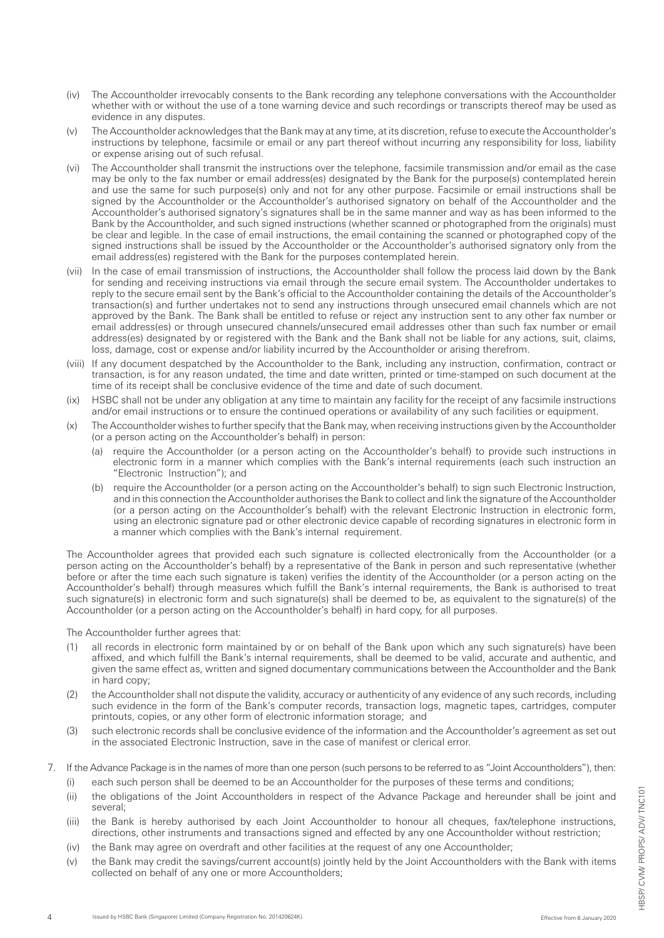- (iv) The Accountholder irrevocably consents to the Bank recording any telephone conversations with the Accountholder whether with or without the use of a tone warning device and such recordings or transcripts thereof may be used as evidence in any disputes.
- (v) The Accountholder acknowledges that the Bank may at any time, at its discretion, refuse to execute the Accountholder's instructions by telephone, facsimile or email or any part thereof without incurring any responsibility for loss, liability or expense arising out of such refusal.
- (vi) The Accountholder shall transmit the instructions over the telephone, facsimile transmission and/or email as the case may be only to the fax number or email address(es) designated by the Bank for the purpose(s) contemplated herein and use the same for such purpose(s) only and not for any other purpose. Facsimile or email instructions shall be signed by the Accountholder or the Accountholder's authorised signatory on behalf of the Accountholder and the Accountholder's authorised signatory's signatures shall be in the same manner and way as has been informed to the Bank by the Accountholder, and such signed instructions (whether scanned or photographed from the originals) must be clear and legible. In the case of email instructions, the email containing the scanned or photographed copy of the signed instructions shall be issued by the Accountholder or the Accountholder's authorised signatory only from the email address(es) registered with the Bank for the purposes contemplated herein.
- (vii) In the case of email transmission of instructions, the Accountholder shall follow the process laid down by the Bank for sending and receiving instructions via email through the secure email system. The Accountholder undertakes to reply to the secure email sent by the Bank's official to the Accountholder containing the details of the Accountholder's transaction(s) and further undertakes not to send any instructions through unsecured email channels which are not approved by the Bank. The Bank shall be entitled to refuse or reject any instruction sent to any other fax number or email address(es) or through unsecured channels/unsecured email addresses other than such fax number or email address(es) designated by or registered with the Bank and the Bank shall not be liable for any actions, suit, claims, loss, damage, cost or expense and/or liability incurred by the Accountholder or arising therefrom.
- (viii) If any document despatched by the Accountholder to the Bank, including any instruction, confirmation, contract or transaction, is for any reason undated, the time and date written, printed or time-stamped on such document at the time of its receipt shall be conclusive evidence of the time and date of such document.
- (ix) HSBC shall not be under any obligation at any time to maintain any facility for the receipt of any facsimile instructions and/or email instructions or to ensure the continued operations or availability of any such facilities or equipment.
- (x) The Accountholder wishes to further specify that the Bank may, when receiving instructions given by the Accountholder (or a person acting on the Accountholder's behalf) in person:
	- (a) require the Accountholder (or a person acting on the Accountholder's behalf) to provide such instructions in electronic form in a manner which complies with the Bank's internal requirements (each such instruction an "Electronic Instruction"); and
	- (b) require the Accountholder (or a person acting on the Accountholder's behalf) to sign such Electronic Instruction, and in this connection the Accountholder authorises the Bank to collect and link the signature of the Accountholder (or a person acting on the Accountholder's behalf) with the relevant Electronic Instruction in electronic form, using an electronic signature pad or other electronic device capable of recording signatures in electronic form in a manner which complies with the Bank's internal requirement.

The Accountholder agrees that provided each such signature is collected electronically from the Accountholder (or a person acting on the Accountholder's behalf) by a representative of the Bank in person and such representative (whether before or after the time each such signature is taken) verifies the identity of the Accountholder (or a person acting on the Accountholder's behalf) through measures which fulfill the Bank's internal requirements, the Bank is authorised to treat such signature(s) in electronic form and such signature(s) shall be deemed to be, as equivalent to the signature(s) of the Accountholder (or a person acting on the Accountholder's behalf) in hard copy, for all purposes.

### The Accountholder further agrees that:

- (1) all records in electronic form maintained by or on behalf of the Bank upon which any such signature(s) have been affixed, and which fulfill the Bank's internal requirements, shall be deemed to be valid, accurate and authentic, and given the same effect as, written and signed documentary communications between the Accountholder and the Bank in hard copy;
- (2) the Accountholder shall not dispute the validity, accuracy or authenticity of any evidence of any such records, including such evidence in the form of the Bank's computer records, transaction logs, magnetic tapes, cartridges, computer printouts, copies, or any other form of electronic information storage; and
- (3) such electronic records shall be conclusive evidence of the information and the Accountholder's agreement as set out in the associated Electronic Instruction, save in the case of manifest or clerical error.
- 7. If the Advance Package is in the names of more than one person (such persons to be referred to as "Joint Accountholders"), then:
	- (i) each such person shall be deemed to be an Accountholder for the purposes of these terms and conditions;
	- (ii) the obligations of the Joint Accountholders in respect of the Advance Package and hereunder shall be joint and several;
	- (iii) the Bank is hereby authorised by each Joint Accountholder to honour all cheques, fax/telephone instructions, directions, other instruments and transactions signed and effected by any one Accountholder without restriction;
	- (iv) the Bank may agree on overdraft and other facilities at the request of any one Accountholder;
	- (v) the Bank may credit the savings/current account(s) jointly held by the Joint Accountholders with the Bank with items collected on behalf of any one or more Accountholders;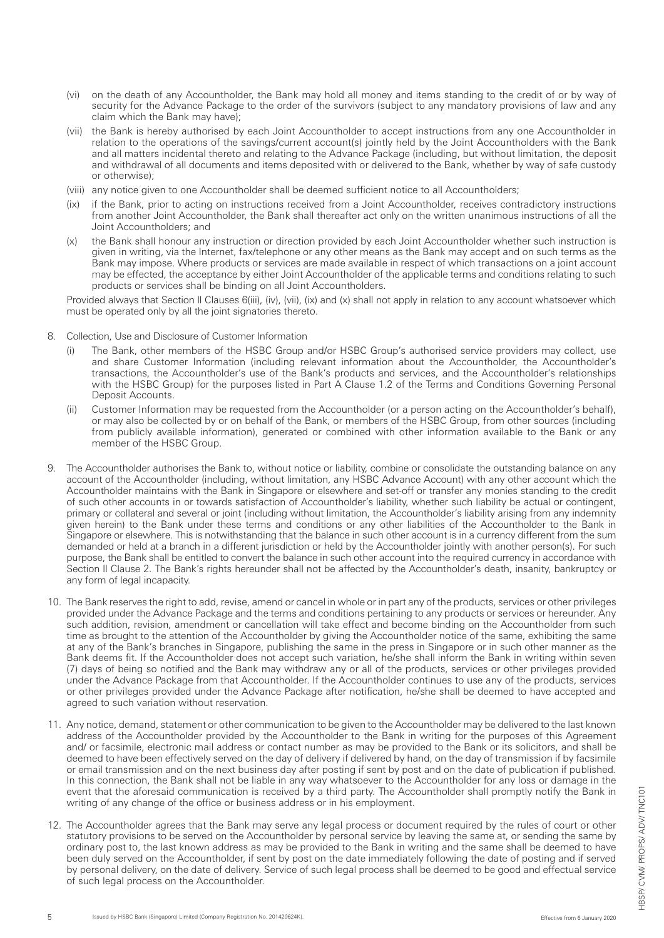- (vi) on the death of any Accountholder, the Bank may hold all money and items standing to the credit of or by way of security for the Advance Package to the order of the survivors (subject to any mandatory provisions of law and any claim which the Bank may have);
- (vii) the Bank is hereby authorised by each Joint Accountholder to accept instructions from any one Accountholder in relation to the operations of the savings/current account(s) jointly held by the Joint Accountholders with the Bank and all matters incidental thereto and relating to the Advance Package (including, but without limitation, the deposit and withdrawal of all documents and items deposited with or delivered to the Bank, whether by way of safe custody or otherwise);
- (viii) any notice given to one Accountholder shall be deemed sufficient notice to all Accountholders;
- (ix) if the Bank, prior to acting on instructions received from a Joint Accountholder, receives contradictory instructions from another Joint Accountholder, the Bank shall thereafter act only on the written unanimous instructions of all the Joint Accountholders; and
- (x) the Bank shall honour any instruction or direction provided by each Joint Accountholder whether such instruction is given in writing, via the Internet, fax/telephone or any other means as the Bank may accept and on such terms as the Bank may impose. Where products or services are made available in respect of which transactions on a joint account may be effected, the acceptance by either Joint Accountholder of the applicable terms and conditions relating to such products or services shall be binding on all Joint Accountholders.

Provided always that Section II Clauses 6(iii), (iv), (vii), (ix) and (x) shall not apply in relation to any account whatsoever which must be operated only by all the joint signatories thereto.

- 8. Collection, Use and Disclosure of Customer Information
	- The Bank, other members of the HSBC Group and/or HSBC Group's authorised service providers may collect, use and share Customer Information (including relevant information about the Accountholder, the Accountholder's transactions, the Accountholder's use of the Bank's products and services, and the Accountholder's relationships with the HSBC Group) for the purposes listed in Part A Clause 1.2 of the Terms and Conditions Governing Personal Deposit Accounts.
	- (ii) Customer Information may be requested from the Accountholder (or a person acting on the Accountholder's behalf), or may also be collected by or on behalf of the Bank, or members of the HSBC Group, from other sources (including from publicly available information), generated or combined with other information available to the Bank or any member of the HSBC Group.
- 9. The Accountholder authorises the Bank to, without notice or liability, combine or consolidate the outstanding balance on any account of the Accountholder (including, without limitation, any HSBC Advance Account) with any other account which the Accountholder maintains with the Bank in Singapore or elsewhere and set-off or transfer any monies standing to the credit of such other accounts in or towards satisfaction of Accountholder's liability, whether such liability be actual or contingent, primary or collateral and several or joint (including without limitation, the Accountholder's liability arising from any indemnity given herein) to the Bank under these terms and conditions or any other liabilities of the Accountholder to the Bank in Singapore or elsewhere. This is notwithstanding that the balance in such other account is in a currency different from the sum demanded or held at a branch in a different jurisdiction or held by the Accountholder jointly with another person(s). For such purpose, the Bank shall be entitled to convert the balance in such other account into the required currency in accordance with Section ll Clause 2. The Bank's rights hereunder shall not be affected by the Accountholder's death, insanity, bankruptcy or any form of legal incapacity.
- 10. The Bank reserves the right to add, revise, amend or cancel in whole or in part any of the products, services or other privileges provided under the Advance Package and the terms and conditions pertaining to any products or services or hereunder. Any such addition, revision, amendment or cancellation will take effect and become binding on the Accountholder from such time as brought to the attention of the Accountholder by giving the Accountholder notice of the same, exhibiting the same at any of the Bank's branches in Singapore, publishing the same in the press in Singapore or in such other manner as the Bank deems fit. If the Accountholder does not accept such variation, he/she shall inform the Bank in writing within seven (7) days of being so notified and the Bank may withdraw any or all of the products, services or other privileges provided under the Advance Package from that Accountholder. If the Accountholder continues to use any of the products, services or other privileges provided under the Advance Package after notification, he/she shall be deemed to have accepted and agreed to such variation without reservation.
- 11. Any notice, demand, statement or other communication to be given to the Accountholder may be delivered to the last known address of the Accountholder provided by the Accountholder to the Bank in writing for the purposes of this Agreement and/ or facsimile, electronic mail address or contact number as may be provided to the Bank or its solicitors, and shall be deemed to have been effectively served on the day of delivery if delivered by hand, on the day of transmission if by facsimile or email transmission and on the next business day after posting if sent by post and on the date of publication if published. In this connection, the Bank shall not be liable in any way whatsoever to the Accountholder for any loss or damage in the event that the aforesaid communication is received by a third party. The Accountholder shall promptly notify the Bank in writing of any change of the office or business address or in his employment.
- 12. The Accountholder agrees that the Bank may serve any legal process or document required by the rules of court or other statutory provisions to be served on the Accountholder by personal service by leaving the same at, or sending the same by ordinary post to, the last known address as may be provided to the Bank in writing and the same shall be deemed to have been duly served on the Accountholder, if sent by post on the date immediately following the date of posting and if served by personal delivery, on the date of delivery. Service of such legal process shall be deemed to be good and effectual service of such legal process on the Accountholder.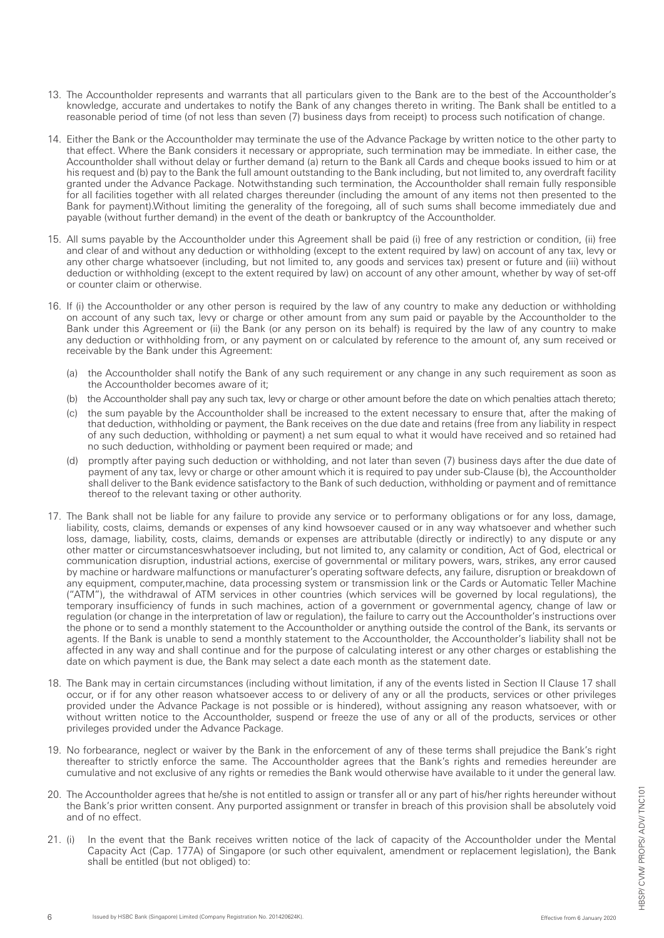- 13. The Accountholder represents and warrants that all particulars given to the Bank are to the best of the Accountholder's knowledge, accurate and undertakes to notify the Bank of any changes thereto in writing. The Bank shall be entitled to a reasonable period of time (of not less than seven (7) business days from receipt) to process such notification of change.
- 14. Either the Bank or the Accountholder may terminate the use of the Advance Package by written notice to the other party to that effect. Where the Bank considers it necessary or appropriate, such termination may be immediate. In either case, the Accountholder shall without delay or further demand (a) return to the Bank all Cards and cheque books issued to him or at his request and (b) pay to the Bank the full amount outstanding to the Bank including, but not limited to, any overdraft facility granted under the Advance Package. Notwithstanding such termination, the Accountholder shall remain fully responsible for all facilities together with all related charges thereunder (including the amount of any items not then presented to the Bank for payment).Without limiting the generality of the foregoing, all of such sums shall become immediately due and payable (without further demand) in the event of the death or bankruptcy of the Accountholder.
- 15. All sums payable by the Accountholder under this Agreement shall be paid (i) free of any restriction or condition, (ii) free and clear of and without any deduction or withholding (except to the extent required by law) on account of any tax, levy or any other charge whatsoever (including, but not limited to, any goods and services tax) present or future and (iii) without deduction or withholding (except to the extent required by law) on account of any other amount, whether by way of set-off or counter claim or otherwise.
- 16. If (i) the Accountholder or any other person is required by the law of any country to make any deduction or withholding on account of any such tax, levy or charge or other amount from any sum paid or payable by the Accountholder to the Bank under this Agreement or (ii) the Bank (or any person on its behalf) is required by the law of any country to make any deduction or withholding from, or any payment on or calculated by reference to the amount of, any sum received or receivable by the Bank under this Agreement:
	- (a) the Accountholder shall notify the Bank of any such requirement or any change in any such requirement as soon as the Accountholder becomes aware of it;
	- (b) the Accountholder shall pay any such tax, levy or charge or other amount before the date on which penalties attach thereto;
	- (c) the sum payable by the Accountholder shall be increased to the extent necessary to ensure that, after the making of that deduction, withholding or payment, the Bank receives on the due date and retains (free from any liability in respect of any such deduction, withholding or payment) a net sum equal to what it would have received and so retained had no such deduction, withholding or payment been required or made; and
	- (d) promptly after paying such deduction or withholding, and not later than seven (7) business days after the due date of payment of any tax, levy or charge or other amount which it is required to pay under sub-Clause (b), the Accountholder shall deliver to the Bank evidence satisfactory to the Bank of such deduction, withholding or payment and of remittance thereof to the relevant taxing or other authority.
- 17. The Bank shall not be liable for any failure to provide any service or to performany obligations or for any loss, damage, liability, costs, claims, demands or expenses of any kind howsoever caused or in any way whatsoever and whether such loss, damage, liability, costs, claims, demands or expenses are attributable (directly or indirectly) to any dispute or any other matter or circumstanceswhatsoever including, but not limited to, any calamity or condition, Act of God, electrical or communication disruption, industrial actions, exercise of governmental or military powers, wars, strikes, any error caused by machine or hardware malfunctions or manufacturer's operating software defects, any failure, disruption or breakdown of any equipment, computer,machine, data processing system or transmission link or the Cards or Automatic Teller Machine ("ATM"), the withdrawal of ATM services in other countries (which services will be governed by local regulations), the temporary insufficiency of funds in such machines, action of a government or governmental agency, change of law or regulation (or change in the interpretation of law or regulation), the failure to carry out the Accountholder's instructions over the phone or to send a monthly statement to the Accountholder or anything outside the control of the Bank, its servants or agents. If the Bank is unable to send a monthly statement to the Accountholder, the Accountholder's liability shall not be affected in any way and shall continue and for the purpose of calculating interest or any other charges or establishing the date on which payment is due, the Bank may select a date each month as the statement date.
- 18. The Bank may in certain circumstances (including without limitation, if any of the events listed in Section II Clause 17 shall occur, or if for any other reason whatsoever access to or delivery of any or all the products, services or other privileges provided under the Advance Package is not possible or is hindered), without assigning any reason whatsoever, with or without written notice to the Accountholder, suspend or freeze the use of any or all of the products, services or other privileges provided under the Advance Package.
- 19. No forbearance, neglect or waiver by the Bank in the enforcement of any of these terms shall prejudice the Bank's right thereafter to strictly enforce the same. The Accountholder agrees that the Bank's rights and remedies hereunder are cumulative and not exclusive of any rights or remedies the Bank would otherwise have available to it under the general law.
- 20. The Accountholder agrees that he/she is not entitled to assign or transfer all or any part of his/her rights hereunder without the Bank's prior written consent. Any purported assignment or transfer in breach of this provision shall be absolutely void and of no effect.
- 21. (i) In the event that the Bank receives written notice of the lack of capacity of the Accountholder under the Mental Capacity Act (Cap. 177A) of Singapore (or such other equivalent, amendment or replacement legislation), the Bank shall be entitled (but not obliged) to: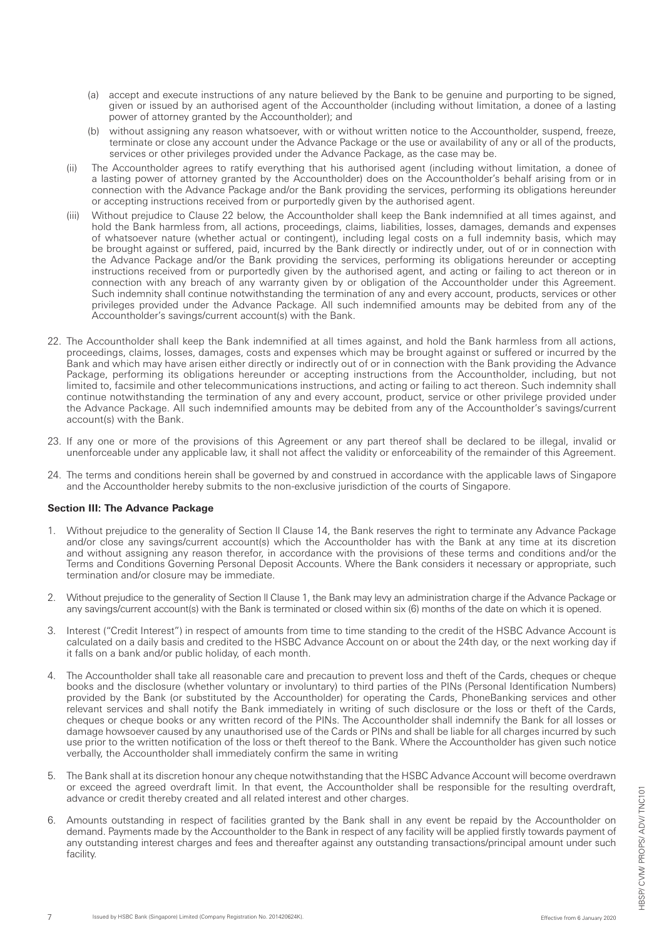- (a) accept and execute instructions of any nature believed by the Bank to be genuine and purporting to be signed, given or issued by an authorised agent of the Accountholder (including without limitation, a donee of a lasting power of attorney granted by the Accountholder); and
- (b) without assigning any reason whatsoever, with or without written notice to the Accountholder, suspend, freeze, terminate or close any account under the Advance Package or the use or availability of any or all of the products, services or other privileges provided under the Advance Package, as the case may be.
- (ii) The Accountholder agrees to ratify everything that his authorised agent (including without limitation, a donee of a lasting power of attorney granted by the Accountholder) does on the Accountholder's behalf arising from or in connection with the Advance Package and/or the Bank providing the services, performing its obligations hereunder or accepting instructions received from or purportedly given by the authorised agent.
- (iii) Without prejudice to Clause 22 below, the Accountholder shall keep the Bank indemnified at all times against, and hold the Bank harmless from, all actions, proceedings, claims, liabilities, losses, damages, demands and expenses of whatsoever nature (whether actual or contingent), including legal costs on a full indemnity basis, which may be brought against or suffered, paid, incurred by the Bank directly or indirectly under, out of or in connection with the Advance Package and/or the Bank providing the services, performing its obligations hereunder or accepting instructions received from or purportedly given by the authorised agent, and acting or failing to act thereon or in connection with any breach of any warranty given by or obligation of the Accountholder under this Agreement. Such indemnity shall continue notwithstanding the termination of any and every account, products, services or other privileges provided under the Advance Package. All such indemnified amounts may be debited from any of the Accountholder's savings/current account(s) with the Bank.
- 22. The Accountholder shall keep the Bank indemnified at all times against, and hold the Bank harmless from all actions, proceedings, claims, losses, damages, costs and expenses which may be brought against or suffered or incurred by the Bank and which may have arisen either directly or indirectly out of or in connection with the Bank providing the Advance Package, performing its obligations hereunder or accepting instructions from the Accountholder, including, but not limited to, facsimile and other telecommunications instructions, and acting or failing to act thereon. Such indemnity shall continue notwithstanding the termination of any and every account, product, service or other privilege provided under the Advance Package. All such indemnified amounts may be debited from any of the Accountholder's savings/current account(s) with the Bank.
- 23. If any one or more of the provisions of this Agreement or any part thereof shall be declared to be illegal, invalid or unenforceable under any applicable law, it shall not affect the validity or enforceability of the remainder of this Agreement.
- 24. The terms and conditions herein shall be governed by and construed in accordance with the applicable laws of Singapore and the Accountholder hereby submits to the non-exclusive jurisdiction of the courts of Singapore.

### **Section III: The Advance Package**

- 1. Without prejudice to the generality of Section ll Clause 14, the Bank reserves the right to terminate any Advance Package and/or close any savings/current account(s) which the Accountholder has with the Bank at any time at its discretion and without assigning any reason therefor, in accordance with the provisions of these terms and conditions and/or the Terms and Conditions Governing Personal Deposit Accounts. Where the Bank considers it necessary or appropriate, such termination and/or closure may be immediate.
- 2. Without prejudice to the generality of Section ll Clause 1, the Bank may levy an administration charge if the Advance Package or any savings/current account(s) with the Bank is terminated or closed within six (6) months of the date on which it is opened.
- 3. Interest ("Credit Interest") in respect of amounts from time to time standing to the credit of the HSBC Advance Account is calculated on a daily basis and credited to the HSBC Advance Account on or about the 24th day, or the next working day if it falls on a bank and/or public holiday, of each month.
- 4. The Accountholder shall take all reasonable care and precaution to prevent loss and theft of the Cards, cheques or cheque books and the disclosure (whether voluntary or involuntary) to third parties of the PINs (Personal Identification Numbers) provided by the Bank (or substituted by the Accountholder) for operating the Cards, PhoneBanking services and other relevant services and shall notify the Bank immediately in writing of such disclosure or the loss or theft of the Cards, cheques or cheque books or any written record of the PINs. The Accountholder shall indemnify the Bank for all losses or damage howsoever caused by any unauthorised use of the Cards or PINs and shall be liable for all charges incurred by such use prior to the written notification of the loss or theft thereof to the Bank. Where the Accountholder has given such notice verbally, the Accountholder shall immediately confirm the same in writing
- 5. The Bank shall at its discretion honour any cheque notwithstanding that the HSBC Advance Account will become overdrawn or exceed the agreed overdraft limit. In that event, the Accountholder shall be responsible for the resulting overdraft, advance or credit thereby created and all related interest and other charges.
- 6. Amounts outstanding in respect of facilities granted by the Bank shall in any event be repaid by the Accountholder on demand. Payments made by the Accountholder to the Bank in respect of any facility will be applied firstly towards payment of any outstanding interest charges and fees and thereafter against any outstanding transactions/principal amount under such facility.